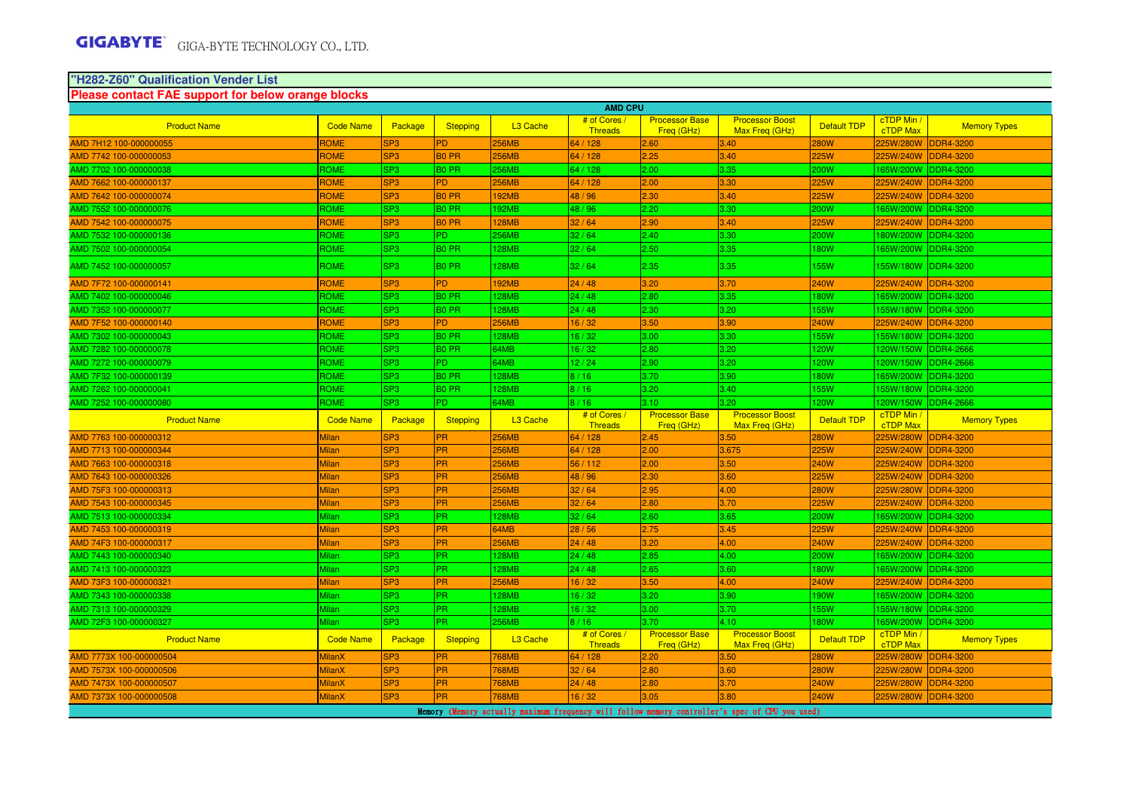# **"H282-Z60" Qualification Vender List Please contact FAE support for below orange blocks**

|                         | <b>AMD CPU</b>   |                 |                   |                      |                                |                                     |                                          |                    |                        |                     |
|-------------------------|------------------|-----------------|-------------------|----------------------|--------------------------------|-------------------------------------|------------------------------------------|--------------------|------------------------|---------------------|
| <b>Product Name</b>     | <b>Code Name</b> | Package         | <b>Stepping</b>   | L <sub>3</sub> Cache | # of Cores<br><b>Threads</b>   | <b>Processor Base</b><br>Freq (GHz) | <b>Processor Boost</b><br>Max Freq (GHz) | <b>Default TDP</b> | cTDP Min /<br>cTDP Max | <b>Memory Types</b> |
| AMD 7H12 100-000000055  | ROME             | SP <sub>3</sub> | PD                | <b>256MB</b>         | 64 / 128                       | 2.60                                | 3.40                                     | <b>280W</b>        | 225W/280W              | <b>DDR4-3200</b>    |
| AMD 7742 100-000000053  | ROME             | SP <sub>3</sub> | <b>BO PR</b>      | <b>256MB</b>         | 64 / 128                       | 2.25                                | 3.40                                     | 225W               | 225W/240W              | DR4-3200            |
| AMD 7702 100-000000038  | <b>ROME</b>      | SP3             | <b>BO PR</b>      | 256MB                | 64 / 128                       | 2.00                                | 3.35                                     | 200W               | 65W/200W               | <b>DDR4-3200</b>    |
| AMD 7662 100-000000137  | ROME             | SP <sub>3</sub> | <b>PD</b>         | 256MB                | 64 / 128                       | 2.00                                | 3.30                                     | <b>225W</b>        | 225W/240W              | <b>DDR4-3200</b>    |
| AMD 7642 100-000000074  | ROME             | SP <sub>3</sub> | <b>BO PR</b>      | 92MB                 | 48 / 96                        | 2.30                                | 3.40                                     | 225W               | 225W/240W              | DR4-3200            |
| AMD 7552 100-000000076  | ROME             | SP3             | <b>BO PR</b>      | 192MB                | 48 / 96                        | 2.20                                | 3.30                                     | 200W               | 65W/200W               | DDR4-3200           |
| AMD 7542 100-000000075  | <b>ROME</b>      | SP <sub>3</sub> | <b>BO PR</b>      | <b>128MB</b>         | 32/64                          | 2.90                                | 3.40                                     | 225W               | 225W/240W              | <b>DDR4-3200</b>    |
| AMD 7532 100-000000136  | <b>ROME</b>      | SP <sub>3</sub> | PD.               | 256MB                | 32/64                          | 2.40                                | 3.30                                     | 200W               | 80W/200W               | DDR4-3200           |
| AMD 7502 100-000000054  | ROME             | SP3             | <b>BO PR</b>      | <b>28MB</b>          | 32/64                          | 2.50                                | 3.35                                     | 80W                |                        | 65W/200W DDR4-3200  |
| AMD 7452 100-000000057  | ROME             | SP <sub>3</sub> | B <sub>0</sub> PR | 128MB                | 32/64                          | 2.35                                | 3.35                                     | <b>55W</b>         | 55W/180W               | <b>DDR4-3200</b>    |
| AMD 7F72 100-000000141  | ROME             | SP <sub>3</sub> | <b>PD</b>         | 192MB                | 24/48                          | 3.20                                | 3.70                                     | <b>240W</b>        | 225W/240W              | DDR4-3200           |
| MD 7402 100-000000046   | ROME             | SP3             | <b>BO PR</b>      | <b>28MB</b>          | 24/48                          | 2.80                                | 3.35                                     | <b>80W</b>         | 65W/200W               | <b>DDR4-3200</b>    |
| AMD 7352 100-000000077  | <b>ROME</b>      | SP <sub>3</sub> | B <sub>0</sub> PR | 128MB                | 24/48                          | 2.30                                | 3.20                                     | 155W               | 155W/180W              | <b>DDR4-3200</b>    |
| AMD 7F52 100-000000140  | ROME             | SP <sub>3</sub> | <b>PD</b>         | <b>256MB</b>         | 16/32                          | 3.50                                | 3.90                                     | <b>240W</b>        | 225W/240W              | <b>DDR4-3200</b>    |
| AMD 7302 100-000000043  | ROME             | SP3             | <b>BO PR</b>      | 128MB                | 16/32                          | 3.00                                | 3.30                                     | <b>55W</b>         | 55W/180W               | <b>DDR4-3200</b>    |
| AMD 7282 100-000000078  | ROME             | SP3             | <b>BO PR</b>      | 34MB                 | 16/32                          | 2.80                                | 3.20                                     | <b>20W</b>         | 20W/150W               | <b>DDR4-2666</b>    |
| AMD 7272 100-000000079  | <b>ROME</b>      | SP3             | PD.               | 64MB                 | 12/24                          | 2.90                                | 3.20                                     | <b>20W</b>         |                        | 20W/150W DDR4-2666  |
| AMD 7F32 100-000000139  | <b>ROME</b>      | SP3             | B <sub>0</sub> PR | 128MB                | 8/16                           | 3.70                                | 3.90                                     | <b>80W</b>         | 65W/200W               | <b>DDR4-3200</b>    |
| AMD 7262 100-000000041  | ROME             | SP3             | <b>BO PR</b>      | 128MB                | 8/16                           | 3.20                                | 3.40                                     | <b>55W</b>         | 55W/180W               | <b>DDR4-3200</b>    |
| AMD 7252 100-000000080  | ROME             | SP3             | PD.               | 64MB                 | 8/16                           | 3.10 <sub>1</sub>                   | 3.20                                     | 20W                | 20W/150W               | <b>DDR4-2666</b>    |
| <b>Product Name</b>     | <b>Code Name</b> | Package         | Stepping          | L <sub>3</sub> Cache | # of Cores /<br><b>Threads</b> | <b>Processor Base</b><br>Freq (GHz) | <b>Processor Boost</b><br>Max Freg (GHz) | <b>Default TDP</b> | cTDP Min<br>cTDP Max   | <b>Memory Types</b> |
| AMD 7763 100-000000312  | Milan            | SP <sub>3</sub> |                   |                      |                                |                                     |                                          |                    |                        |                     |
|                         |                  |                 | <b>PR</b>         | <b>256MB</b>         | 64 / 128                       | 2.45                                | 3.50                                     | <b>280W</b>        | 225W/280W              | <b>DDR4-3200</b>    |
| AMD 7713 100-000000344  | Milan            | SP <sub>3</sub> | <b>PR</b>         | 256MB                | 64 / 128                       | 2.00                                | 3.675                                    | 225W               | 225W/240W              | DR4-3200            |
| AMD 7663 100-000000318  | Milan            | SP <sub>3</sub> | <b>PR</b>         | <b>256MB</b>         | 56 / 112                       | 2.00                                | 3.50                                     | 240W               | 225W/240W              | DDR4-3200           |
| AMD 7643 100-000000326  | Milan            | SP <sub>3</sub> | <b>PR</b>         | <b>256MB</b>         | 48 / 96                        | 2.30                                | 3.60                                     | 225W               | 225W/240W              | DDR4-3200           |
| AMD 75F3 100-000000313  | Milan            | SP <sub>3</sub> | <b>PR</b>         | <b>256MB</b>         | 32/64                          | 2.95                                | 4.00                                     | <b>280W</b>        | 225W/280W              | DDR4-3200           |
| AMD 7543 100-000000345  | Milan            | SP <sub>3</sub> | <b>PR</b>         | 256MB                | 32/64                          | 2.80                                | 3.70                                     | 225W               | 225W/240W              | DDR4-3200           |
| AMD 7513 100-000000334  | Milan            | SP <sub>3</sub> | PR.               | 128MB                | 32/64                          | 2.60                                | 3.65                                     | 200W               | 65W/200W               | DDR4-3200           |
| AMD 7453 100-000000319  | Milan            | SP <sub>3</sub> | <b>PR</b>         | 64MB                 | 28/56                          | 2.75                                | 3.45                                     | <b>225W</b>        | 225W/240W              | DDR4-3200           |
| AMD 74F3 100-000000317  | Milan            | SP <sub>3</sub> | <b>PR</b>         | <b>256MB</b>         | 24/48                          | 3.20                                | 4.00                                     | 240W               | 225W/240W              | <b>DDR4-3200</b>    |
| AMD 7443 100-000000340  | Milan            | SP3             | PR.               | 28MB                 | 24/48                          | 2.85                                | 4.00                                     | 200W               | 65W/200W               | DDR4-3200           |
| AMD 7413 100-000000323  | Milan            | SP3             | PR.               | 28MB                 | 24/48                          | 2.65                                | 3.60                                     | <b>80W</b>         | 65W/200W               | <b>DDR4-3200</b>    |
| AMD 73F3 100-000000321  | <b>Milan</b>     | SP <sub>3</sub> | <b>PR</b>         | <b>256MB</b>         | 16/32                          | 3.50                                | 4.00                                     | 240W               | 225W/240W              | <b>DDR4-3200</b>    |
| AMD 7343 100-000000338  | Milan            | SP3             | PR.               | 128MB                | 16/32                          | 3.20                                | 3.90                                     | <b>90W</b>         | 65W/200W               | <b>DDR4-3200</b>    |
| AMD 7313 100-000000329  | Milan            | SP3             | PR.               | 128MB                | 16/32                          | 3.00                                | 3.70                                     | 155W               |                        | 55W/180W DDR4-3200  |
| AMD 72F3 100-000000327  | Milan            | SP3             | PR.               | 256MB                | 8/16                           | 3.70                                | 4.10                                     | 80W                | 65W/200W               | DDR4-3200           |
| <b>Product Name</b>     | <b>Code Name</b> | Package         | Stepping          | L <sub>3</sub> Cache | # of Cores /<br><b>Threads</b> | <b>Processor Base</b><br>Freg (GHz) | <b>Processor Boost</b><br>Max Freg (GHz) | <b>Default TDP</b> | cTDP Min<br>cTDP Max   | <b>Memory Types</b> |
| AMD 7773X 100-000000504 | <b>MilanX</b>    | SP <sub>3</sub> | <b>PR</b>         | <b>768MB</b>         | 64 / 128                       | 2.20                                | 3.50                                     | <b>280W</b>        | 225W/280W              | <b>DDR4-3200</b>    |
| AMD 7573X 100-000000506 | <b>MilanX</b>    | SP <sub>3</sub> | <b>PR</b>         | <b>768MB</b>         | 32/64                          | 2.80                                | 3.60                                     | 280W               | 225W/280W              | DR4-3200            |
| AMD 7473X 100-000000507 | <b>MilanX</b>    | SP <sub>3</sub> | <b>PR</b>         | 768MB                | 24/48                          | 2.80                                | 3.70                                     | 240W               | 225W/280W              | DR4-3200            |
| AMD 7373X 100-000000508 | <b>MilanX</b>    | SP <sub>3</sub> | <b>PR</b>         | <b>768MB</b>         | 16/32                          | 3.05                                | 3.80                                     | 240W               | 225W/280W              | DDR4-3200           |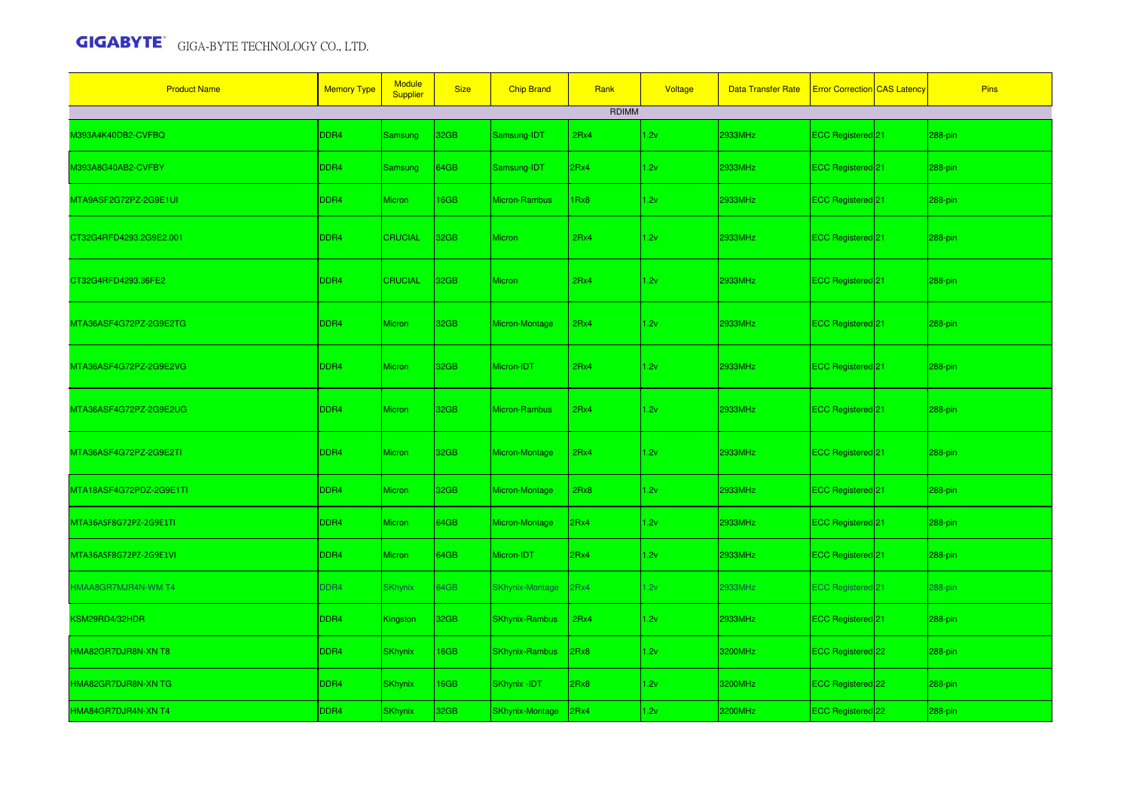| <b>Product Name</b>     | <b>Memory Type</b> | <b>Module</b><br>Supplier | <b>Size</b> | <b>Chip Brand</b>      | Rank         | Voltage | <b>Data Transfer Rate</b> | <b>Error Correction CAS Latency</b> | Pins    |
|-------------------------|--------------------|---------------------------|-------------|------------------------|--------------|---------|---------------------------|-------------------------------------|---------|
|                         |                    |                           |             |                        | <b>RDIMM</b> |         |                           |                                     |         |
| M393A4K40DB2-CVFBQ      | DDR4               | Samsung                   | 32GB        | Samsung-IDT            | 2Rx4         | 1.2v    | 2933MHz                   | ECC Registered <sup>21</sup>        | 288-pin |
| M393A8G40AB2-CVFBY      | DDR4               | Samsung                   | 64GB        | Samsung-IDT            | 2Rx4         | 1.2v    | 2933MHz                   | ECC Registered 21                   | 288-pin |
| MTA9ASF2G72PZ-2G9E1UI   | DDR4               | <b>Micron</b>             | 16GB        | Micron-Rambus          | Rx8          | 1.2v    | 2933MHz                   | ECC Registered <sup>21</sup>        | 288-pin |
| CT32G4RFD4293.2G9E2.001 | DDR4               | <b>CRUCIAL</b>            | 32GB        | Micron                 | 2Rx4         | 1.2v    | 2933MHz                   | ECC Registered 21                   | 288-pin |
| CT32G4RFD4293.36FE2     | DDR4               | CRUCIAL                   | 32GB        | Micron                 | 2Rx4         | 1.2v    | 2933MHz                   | ECC Registered 21                   | 288-pin |
| MTA36ASF4G72PZ-2G9E2TG  | DDR4               | <b>Micron</b>             | 32GB        | Micron-Montage         | 2Rx4         | 1.2v    | 2933MHz                   | ECC Registered <sup>21</sup>        | 288-pin |
| MTA36ASF4G72PZ-2G9E2VG  | DDR4               | <b>Micron</b>             | 32GB        | Micron-IDT             | 2Rx4         | 1.2v    | 2933MHz                   | ECC Registered 21                   | 288-pin |
| MTA36ASF4G72PZ-2G9E2UG  | DDR4               | <b>Micron</b>             | 32GB        | Micron-Rambus          | 2Rx4         | 1.2v    | 2933MHz                   | ECC Registered <sup>21</sup>        | 288-pin |
| MTA36ASF4G72PZ-2G9E2TI  | DDR4               | <b>Micron</b>             | 32GB        | Micron-Montage         | 2Rx4         | 1.2v    | 2933MHz                   | ECC Registered <sup>21</sup>        | 288-pin |
| MTA18ASF4G72PDZ-2G9E1TI | DDR4               | <b>Micron</b>             | 32GB        | Micron-Montage         | 2Rx8         | 1.2v    | 2933MHz                   | ECC Registered 21                   | 288-pin |
| MTA36ASF8G72PZ-2G9E1TI  | DDR4               | <b>Micron</b>             | 64GB        | Micron-Montage         | 2Rx4         | 1.2v    | 2933MHz                   | ECC Registered <sup>21</sup>        | 288-pin |
| MTA36ASF8G72PZ-2G9E1VI  | DDR4               | <b>Micron</b>             | 64GB        | Micron-IDT             | 2Rx4         | 1.2v    | 2933MHz                   | ECC Registered 21                   | 288-pin |
| HMAA8GR7MJR4N-WM T4     | DDR4               | <b>SKhynix</b>            | 64GB        | <b>SKhynix-Montage</b> | 2Rx4         | 1.2v    | 2933MHz                   | ECC Registered 21                   | 288-pin |
| KSM29RD4/32HDR          | DDR4               | Kingston                  | 32GB        | <b>SKhynix-Rambus</b>  | 2Rx4         | 1.2v    | 2933MHz                   | ECC Registered <sup>21</sup>        | 288-pin |
| HMA82GR7DJR8N-XN T8     | DDR4               | <b>SKhynix</b>            | 16GB        | <b>SKhynix-Rambus</b>  | 2Rx8         | 1.2v    | 3200MHz                   | ECC Registered 22                   | 288-pin |
| HMA82GR7DJR8N-XN TG     | DDR4               | <b>SKhynix</b>            | 16GB        | SKhynix -IDT           | 2Rx8         | 1.2v    | 3200MHz                   | ECC Registered 22                   | 288-pin |
| HMA84GR7DJR4N-XN T4     | DDR4               | <b>SKhynix</b>            | 32GB        | <b>SKhynix-Montage</b> | 2Rx4         | 1.2v    | 3200MHz                   | ECC Registered 22                   | 288-pin |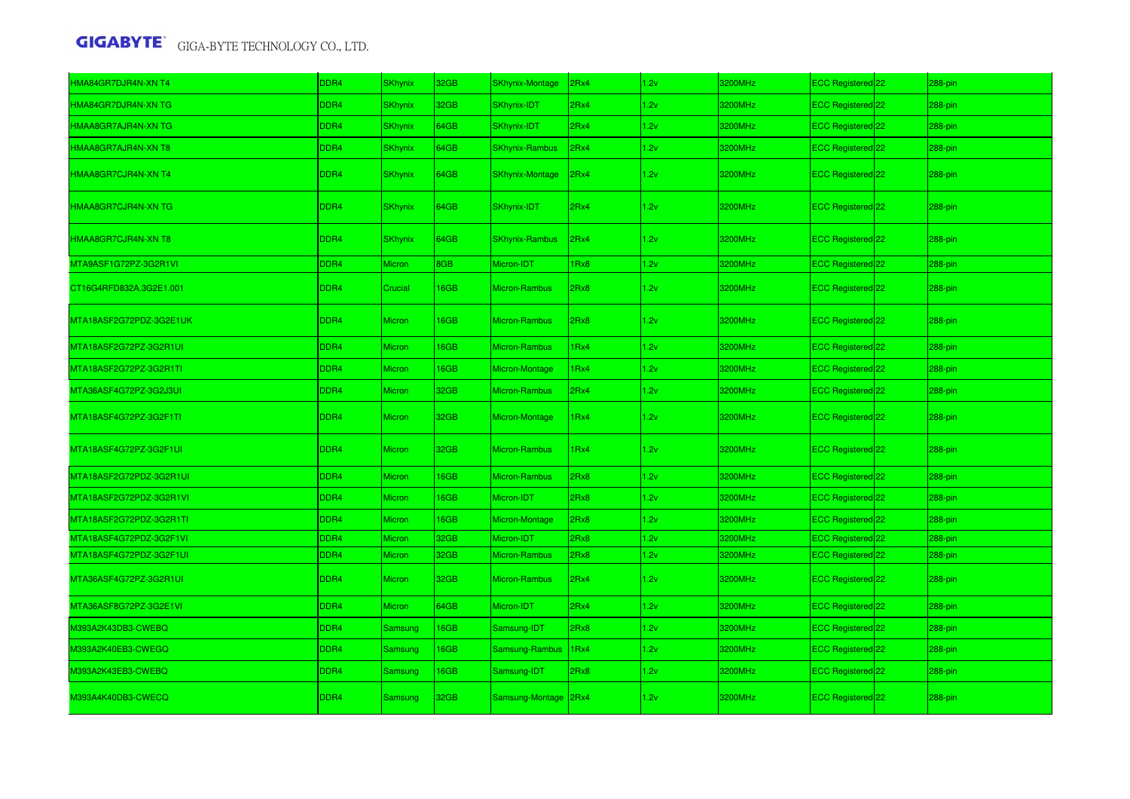| HMA84GR7DJR4N-XN T4     | DDR4 | SKhynix        | 32GB        | SKhynix-Montage        | 2Rx4 | 1.2v | 3200MHz | ECC Registered 22              | 288-pin   |
|-------------------------|------|----------------|-------------|------------------------|------|------|---------|--------------------------------|-----------|
| HMA84GR7DJR4N-XN TG     | DDR4 | <b>SKhynix</b> | 32GB        | SKhynix-IDT            | 2Rx4 | 1.2v | 3200MHz | ECC Registered 22              | 288-pin   |
| HMAA8GR7AJR4N-XN TG     | DDR4 | <b>SKhynix</b> | 64GB        | SKhynix-IDT            | 2Rx4 | 1.2v | 3200MHz | ECC Registered 22              | 288-pin   |
| HMAA8GR7AJR4N-XN T8     | DDR4 | <b>SKhynix</b> | 64GB        | <b>SKhynix-Rambus</b>  | 2Rx4 | 1.2v | 3200MHz | ECC Registered 22              | 288-pin   |
| HMAA8GR7CJR4N-XN T4     | DDR4 | <b>SKhynix</b> | 64GB        | <b>SKhynix-Montage</b> | 2Rx4 | 1.2v | 3200MHz | ECC Registered 22              | 288-pin   |
| HMAA8GR7CJR4N-XN TG     | DDR4 | <b>SKhynix</b> | 64GB        | SKhynix-IDT            | 2Rx4 | 1.2v | 3200MHz | ECC Registered 22              | 288-pin   |
| HMAA8GR7CJR4N-XN T8     | DDR4 | <b>SKhynix</b> | 64GB        | <b>SKhynix-Rambus</b>  | 2Rx4 | 1.2v | 3200MHz | ECC Registered <sup>22</sup>   | $288-pin$ |
| MTA9ASF1G72PZ-3G2R1VI   | DDR4 | Micron         | 8GB         | Micron-IDT             | Rx8  | 1.2v | 3200MHz | ECC Registered 22              | 288-pin   |
| CT16G4RFD832A.3G2E1.001 | DDR4 | Crucial        | 16GB        | Micron-Rambus          | 2Rx8 | 1.2v | 3200MHz | ECC Registered 22              | 288-pin   |
| MTA18ASF2G72PDZ-3G2E1UK | DDR4 | <b>Micron</b>  | 16GB        | Micron-Rambus          | 2Rx8 | 1.2v | 3200MHz | ECC Registered 22              | 288-pin   |
| MTA18ASF2G72PZ-3G2R1UI  | DDR4 | Micron         | <b>I6GB</b> | Micron-Rambus          | Rx4  | 1.2v | 3200MHz | ECC Registered 22              | 288-pin   |
| MTA18ASF2G72PZ-3G2R1TI  | DDR4 | Micron         | <b>I6GB</b> | Micron-Montage         | IRx4 | 1.2v | 3200MHz | ECC Registered 22              | 288-pin   |
| MTA36ASF4G72PZ-3G2J3UI  | DDR4 | Micron         | 32GB        | Micron-Rambus          | 2Rx4 | 1.2v | 3200MHz | ECC Registered 22              | 288-pin   |
| MTA18ASF4G72PZ-3G2F1TI  | DDR4 | <b>Micron</b>  | 32GB        | Micron-Montage         | IRx4 | 1.2v | 3200MHz | ECC Registered <sup>1</sup> 22 | 288-pin   |
| MTA18ASF4G72PZ-3G2F1UI  | DDR4 | <b>Micron</b>  | 32GB        | Micron-Rambus          | IRx4 | 1.2v | 3200MHz | ECC Registered 22              | 288-pin   |
| MTA18ASF2G72PDZ-3G2R1UI | DDR4 | Micron         | <b>I6GB</b> | Micron-Rambus          | 2Rx8 | 1.2v | 3200MHz | ECC Registered 22              | 288-pin   |
| MTA18ASF2G72PDZ-3G2R1VI | DDR4 | Micron         | <b>I6GB</b> | Micron-IDT             | 2Rx8 | 1.2v | 3200MHz | ECC Registered 22              | 288-pin   |
| MTA18ASF2G72PDZ-3G2R1TI | DDR4 | <b>Micron</b>  | 16GB        | Micron-Montage         | 2Rx8 | 1.2v | 3200MHz | ECC Registered 22              | 288-pin   |
| MTA18ASF4G72PDZ-3G2F1VI | DDR4 | Micron         | 32GB        | Micron-IDT             | 2Rx8 | 1.2v | 3200MHz | ECC Registered 22              | 288-pin   |
| MTA18ASF4G72PDZ-3G2F1UI | DDR4 | Micron         | 32GB        | Micron-Rambus          | 2Rx8 | 1.2v | 3200MHz | ECC Registered 22              | 288-pin   |
| MTA36ASF4G72PZ-3G2R1UI  | DDR4 | <b>Micron</b>  | 32GB        | Micron-Rambus          | 2Rx4 | 1.2v | 3200MHz | ECC Registered 22              | 288-pin   |
| MTA36ASF8G72PZ-3G2E1VI  | DDR4 | <b>Micron</b>  | 64GB        | Micron-IDT             | 2Rx4 | 1.2v | 3200MHz | ECC Registered 22              | 288-pin   |
| M393A2K43DB3-CWEBQ      | DDR4 | Samsung        | 16GB        | Samsung-IDT            | 2Rx8 | 1.2v | 3200MHz | ECC Registered 22              | 288-pin   |
| M393A2K40EB3-CWEGQ      | DDR4 | Samsung        | <b>I6GB</b> | Samsung-Rambus         | 1Rx4 | 1.2v | 3200MHz | ECC Registered 22              | 288-pin   |
| M393A2K43EB3-CWEBQ      | DDR4 | Samsung        | <b>I6GB</b> | Samsung-IDT            | 2Rx8 | 1.2v | 3200MHz | ECC Registered 22              | 288-pin   |
| M393A4K40DB3-CWECQ      | DDR4 | <b>Samsung</b> | 32GB        | Samsung-Montage 2Rx4   |      | 1.2v | 3200MHz | ECC Registered 22              | 288-pin   |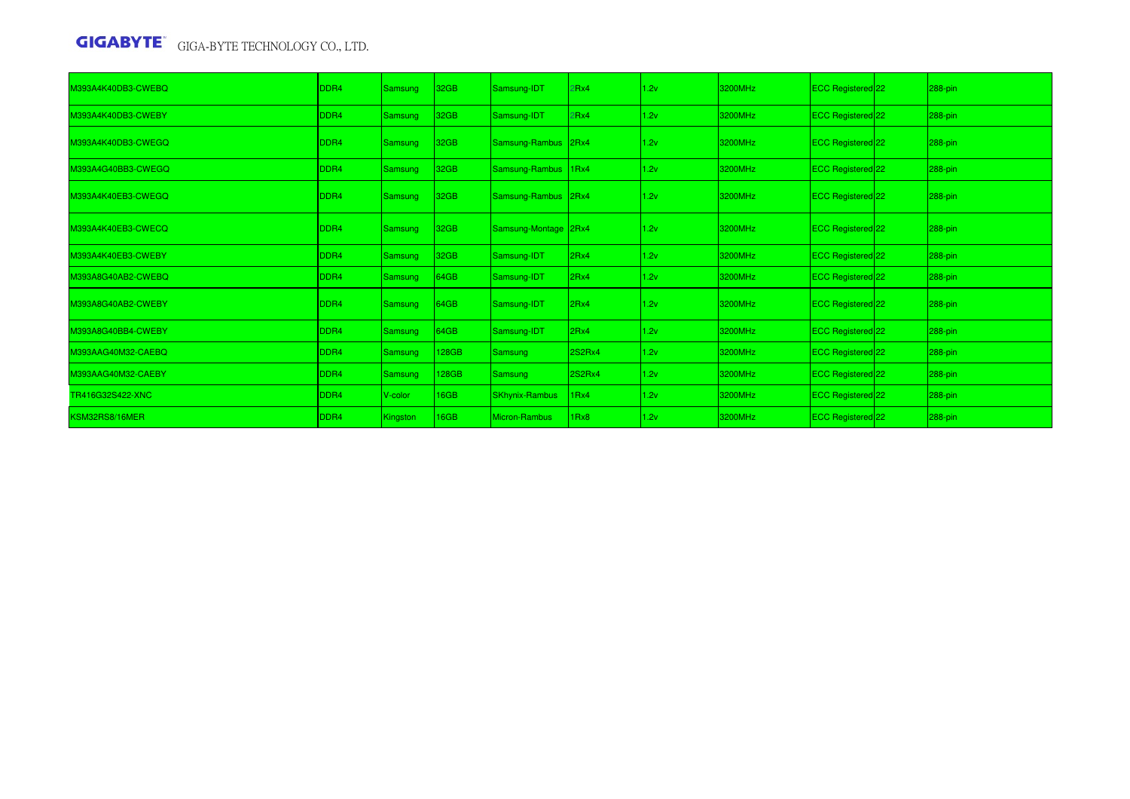| M393A4K40DB3-CWEBQ | DDR4             | Samsung        | 32 <sub>GB</sub> | Samsung-IDT           | 2Rx4             | 1.2v | 3200MHz | ECC Registered 22                   | 288-pin |
|--------------------|------------------|----------------|------------------|-----------------------|------------------|------|---------|-------------------------------------|---------|
| M393A4K40DB3-CWEBY | DDR4             | Samsung        | 32GB             | Samsung-IDT           | 2Rx4             | 1.2v | 3200MHz | ECC Registered 22                   | 288-pin |
| M393A4K40DB3-CWEGQ | DDR4             | Samsung        | 32GB             | Samsung-Rambus 2Rx4   |                  | 1.2v | 3200MHz | ECC Registered 22                   | 288-pin |
| M393A4G40BB3-CWEGQ | DDR <sub>4</sub> | Samsung        | 32GB             | Samsung-Rambus 1Rx4   |                  | 1.2v | 3200MHz | ECC Registered 22                   | 288-pin |
| M393A4K40EB3-CWEGQ | DDR4             | Samsung        | 32 <sub>GB</sub> | Samsung-Rambus 2Rx4   |                  | 1.2v | 3200MHz | <b>ECC Registered</b> <sup>22</sup> | 288-pin |
| M393A4K40EB3-CWECQ | DDR4             | Samsung        | 32GB             | Samsung-Montage 2Rx4  |                  | 1.2v | 3200MHz | ECC Registered 22                   | 288-pin |
| M393A4K40EB3-CWEBY | DDR4             | Samsung        | 32GB             | Samsung-IDT           | 2Rx4             | 1.2v | 3200MHz | ECC Registered 22                   | 288-pin |
| M393A8G40AB2-CWEBQ | DDR4             | Samsung        | 64GB             | Samsung-IDT           | 2Rx4             | 1.2v | 3200MHz | ECC Registered 22                   | 288-pin |
| M393A8G40AB2-CWEBY | DDR4             | Samsung        | 64GB             | Samsung-IDT           | 2Rx4             | 1.2v | 3200MHz | ECC Registered 22                   | 288-pin |
| M393A8G40BB4-CWEBY | DDR4             | <b>Samsung</b> | 64GB             | Samsung-IDT           | 2Rx4             | 1.2v | 3200MHz | ECC Registered 22                   | 288-pin |
| M393AAG40M32-CAEBQ | DDR4             | Samsung        | 128GB            | Samsung               | 2S2Rx4           | 1.2v | 3200MHz | ECC Registered 22                   | 288-pin |
| M393AAG40M32-CAEBY | DDR4             | Samsung        | 128GB            | Samsung               | 2S2Rx4           | 1.2v | 3200MHz | <b>ECC Registered</b> 22            | 288-pin |
| TR416G32S422-XNC   | DDR4             | V-color        | 16GB             | <b>SKhynix-Rambus</b> | 1 <sub>Rx4</sub> | 1.2v | 3200MHz | ECC Registered 22                   | 288-pin |
| KSM32RS8/16MER     | DDR <sub>4</sub> | Kingston       | 16GB             | Micron-Rambus         | 1Rx8             | 1.2v | 3200MHz | ECC Registered 22                   | 288-pin |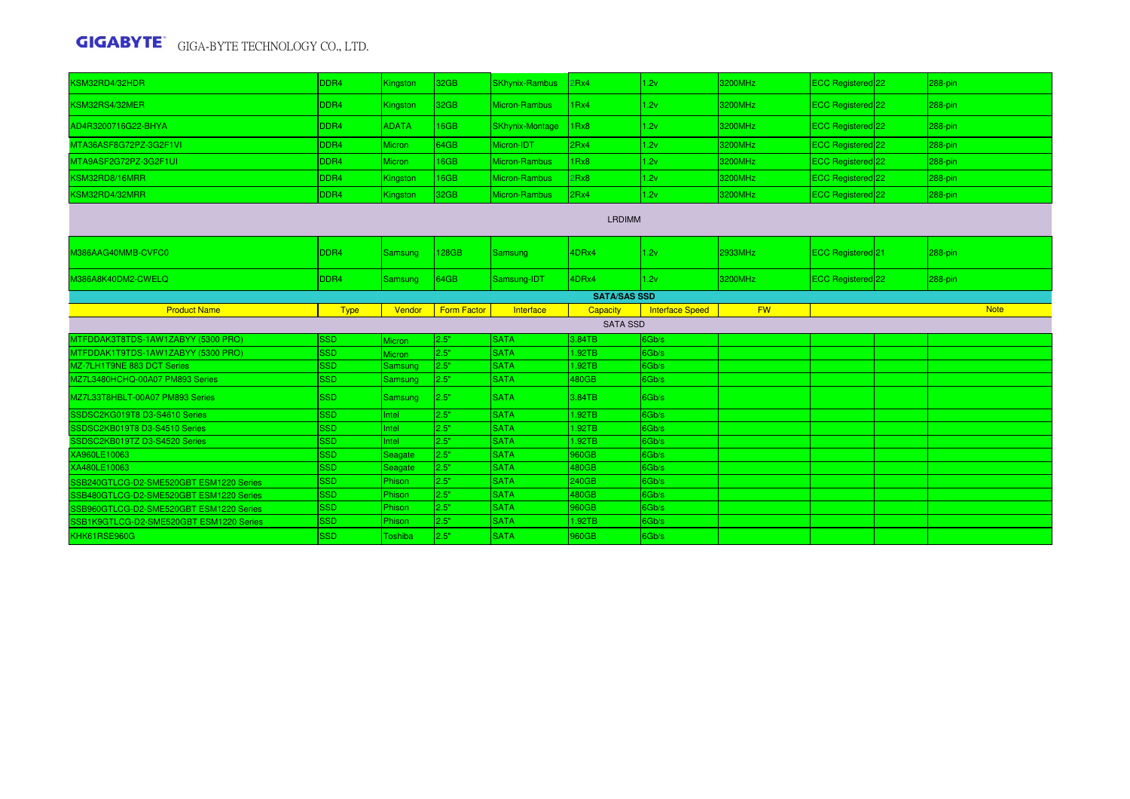| KSM32RD4/32HDR                          | DDR4             | Kingston      | 132 <sub>GB</sub>  | <b>SKhynix-Rambus</b>  | 2Rx4                | 1.2v                   | 3200MHz   | ECC Registered <sup>22</sup>   |  | 288-pin     |  |
|-----------------------------------------|------------------|---------------|--------------------|------------------------|---------------------|------------------------|-----------|--------------------------------|--|-------------|--|
| KSM32RS4/32MER                          | DDR4             | Kingston      | 32 <sub>GB</sub>   | Micron-Rambus          | 1Rx4                | 1.2v                   | 3200MHz   | ECC Registered 22              |  | 288-pin     |  |
| AD4R3200716G22-BHYA                     | DDR4             | <b>ADATA</b>  | 16GB               | <b>SKhynix-Montage</b> | 1Rx8                | 1.2v                   | 3200MHz   | ECC Registered 22              |  | 288-pin     |  |
| MTA36ASF8G72PZ-3G2F1VI                  | DDR <sub>4</sub> | Micron        | 64GB               | Micron-IDT             | 2Rx4                | 1.2v                   | 3200MHz   | ECC Registered 22              |  | 288-pin     |  |
| MTA9ASF2G72PZ-3G2F1UI                   | DDR4             | <b>Micron</b> | 16GB               | Micron-Rambus          | 1Rx8                | 1.2v                   | 3200MHz   | <b>ECC Registered</b> 22       |  | 288-pin     |  |
| KSM32RD8/16MRR                          | DDR4             | Kingston      | 16GB               | Micron-Rambus          | 2Rx8                | 1.2v                   | 3200MHz   | ECC Registered 22              |  | 288-pin     |  |
| KSM32RD4/32MRR                          | DDR4             | Kingston      | 32GB               | Micron-Rambus          | 2Rx4                | 1.2v                   | 3200MHz   | ECC Registered 22              |  | 288-pin     |  |
| <b>LRDIMM</b>                           |                  |               |                    |                        |                     |                        |           |                                |  |             |  |
| M386AAG40MMB-CVFC0                      | DDR4             | Samsung       | 128GB              | Samsung                | 4DRx4               | 1.2v                   | 2933MHz   | ECC Registered <sup>[21]</sup> |  | 288-pin     |  |
| M386A8K40DM2-CWELQ                      | DDR4             | Samsung       | 64GB               | Samsung-IDT            | 4DRx4               | 1.2v                   | 3200MHz   | ECC Registered 22              |  | 288-pin     |  |
|                                         |                  |               |                    |                        | <b>SATA/SAS SSD</b> |                        |           |                                |  |             |  |
|                                         |                  |               |                    |                        |                     |                        |           |                                |  |             |  |
| <b>Product Name</b>                     | <b>Type</b>      | Vendor        | <b>Form Factor</b> | Interface              | Capacity            | <b>Interface Speed</b> | <b>FW</b> |                                |  | <b>Note</b> |  |
|                                         |                  |               |                    |                        | <b>SATA SSD</b>     |                        |           |                                |  |             |  |
| MTFDDAK3T8TDS-1AW1ZABYY (5300 PRO)      | <b>SSD</b>       | Micron        | 2.5"               | <b>SATA</b>            | 3.84TB              | 6Gb/s                  |           |                                |  |             |  |
| MTFDDAK1T9TDS-1AW1ZABYY (5300 PRO)      | <b>SSD</b>       | Micron        | 2.5"               | <b>SATA</b>            | 1.92TB              | 6Gb/s                  |           |                                |  |             |  |
| MZ-7LH1T9NE 883 DCT Series              | <b>SSD</b>       | Samsung       | 2.5"               | <b>SATA</b>            | 1.92TB              | 6Gb/s                  |           |                                |  |             |  |
| MZ7L3480HCHQ-00A07 PM893 Series         | SSD.             | Samsung       | 2.5"               | <b>SATA</b>            | 480GB               | 6Gb/s                  |           |                                |  |             |  |
| MZ7L33T8HBLT-00A07 PM893 Series         | <b>SSD</b>       | Samsung       | 2.5"               | <b>SATA</b>            | 3.84TB              | 6Gb/s                  |           |                                |  |             |  |
| SSDSC2KG019T8 D3-S4610 Series           | <b>SSD</b>       | Intel         | 2.5"               | <b>SATA</b>            | 1.92TB              | 6Gb/s                  |           |                                |  |             |  |
| SSDSC2KB019T8 D3-S4510 Series           | <b>SSD</b>       | Intel         | 2.5"               | <b>SATA</b>            | 1.92TB              | 6Gb/s                  |           |                                |  |             |  |
| SSDSC2KB019TZ D3-S4520 Series           | <b>SSD</b>       | Intel         | 2.5"               | <b>SATA</b>            | 1.92TB              | 6Gb/s                  |           |                                |  |             |  |
| XA960LE10063                            | <b>SSD</b>       | Seagate       | 2.5"               | <b>SATA</b>            | 960GB               | 6Gb/s                  |           |                                |  |             |  |
| XA480LE10063                            | <b>SSD</b>       | Seagate       | 2.5"               | <b>SATA</b>            | 480GB               | 6Gb/s                  |           |                                |  |             |  |
| SSB240GTLCG-D2-SME520GBT ESM1220 Series | <b>SSD</b>       | Phison        | 2.5"               | <b>SATA</b>            | 240GB               | 6Gb/s                  |           |                                |  |             |  |
| SSB480GTLCG-D2-SME520GBT ESM1220 Series | <b>SSD</b>       | Phison        | 2.5"               | <b>SATA</b>            | 480GB               | 6Gb/s                  |           |                                |  |             |  |
| SSB960GTLCG-D2-SME520GBT ESM1220 Series | <b>SSD</b>       | Phison        | 2.5"               | <b>SATA</b>            | 960GB               | 6Gb/s                  |           |                                |  |             |  |
| SSB1K9GTLCG-D2-SME520GBT ESM1220 Series | <b>SSD</b>       | Phison        | 2.5"               | <b>SATA</b>            | 1.92TB              | 6Gb/s                  |           |                                |  |             |  |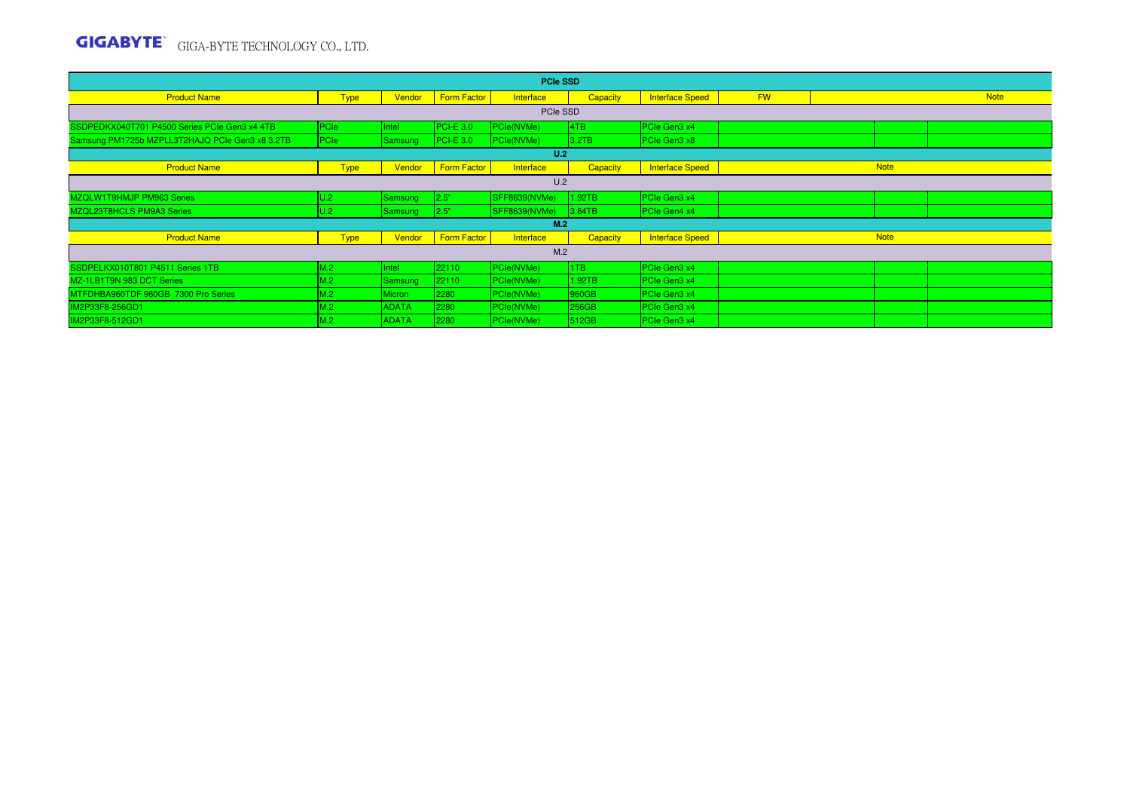| <b>PCIe SSD</b>                                 |                |               |                  |                      |                 |                        |           |             |  |  |  |
|-------------------------------------------------|----------------|---------------|------------------|----------------------|-----------------|------------------------|-----------|-------------|--|--|--|
| <b>Product Name</b>                             | <b>Type</b>    | Vendor        | Form Factor      | Interface            | <b>Capacity</b> | <b>Interface Speed</b> | <b>FW</b> | <b>Note</b> |  |  |  |
|                                                 | PCIe SSD       |               |                  |                      |                 |                        |           |             |  |  |  |
| SSDPEDKX040T701 P4500 Series PCIe Gen3 x4 4TB   | <b>PCIe</b>    | <b>Intel</b>  | <b>PCI-E 3.0</b> | PCle(NVMe)           | 4TB             | PCIe Gen3 x4           |           |             |  |  |  |
| Samsung PM1725b MZPLL3T2HAJQ PCIe Gen3 x8 3.2TB | PCIe           | Samsung       | $PCI-E$ 3.0      | PCle(NVMe)           | 3.2TB           | PCIe Gen3 x8           |           |             |  |  |  |
|                                                 |                |               |                  | U.2                  |                 |                        |           |             |  |  |  |
| <b>Product Name</b>                             | <b>Type</b>    | Vendor        | Form Factor      | Interface            | <b>Capacity</b> | <b>Interface Speed</b> |           | <b>Note</b> |  |  |  |
| U.2                                             |                |               |                  |                      |                 |                        |           |             |  |  |  |
| MZQLW1T9HMJP PM963 Series                       | U.2            | Samsung       | 2.5"             | SFF8639(NVMe)        | 1.92TB          | PCle Gen3 x4           |           |             |  |  |  |
| MZQL23T8HCLS PM9A3 Series                       | U.2            | Samsung       | 2.5"             | <b>SFF8639(NVMe)</b> | 3.84TB          | PCIe Gen4 x4           |           |             |  |  |  |
|                                                 |                |               |                  | M.2                  |                 |                        |           |             |  |  |  |
| <b>Product Name</b>                             | <b>Type</b>    | Vendor        | Form Factor      | Interface            | Capacity        | <b>Interface Speed</b> |           | <b>Note</b> |  |  |  |
|                                                 |                |               |                  | M.2                  |                 |                        |           |             |  |  |  |
| SSDPELKX010T801 P4511 Series 1TB                | M.2            | Intel         | 22110            | PCle(NVMe)           | 1T <sub>B</sub> | PCIe Gen3 x4           |           |             |  |  |  |
| MZ-1LB1T9N 983 DCT Series                       | M.2            | Samsung       | 22110            | PCle(NVMe)           | 1.92TB          | PCIe Gen3 x4           |           |             |  |  |  |
| MTFDHBA960TDF 960GB 7300 Pro Series             | M.2            | <b>Micron</b> | 2280             | PCle(NVMe)           | 960GB           | PCIe Gen3 x4           |           |             |  |  |  |
| IM2P33F8-256GD1                                 | M <sub>2</sub> | <b>ADATA</b>  | 2280             | PCle(NVMe)           | 256GB           | PCIe Gen3 x4           |           |             |  |  |  |
| IM2P33F8-512GD1                                 | M.2            | <b>ADATA</b>  | 2280             | PCle(NVMe)           | 512GB           | PCIe Gen3 x4           |           |             |  |  |  |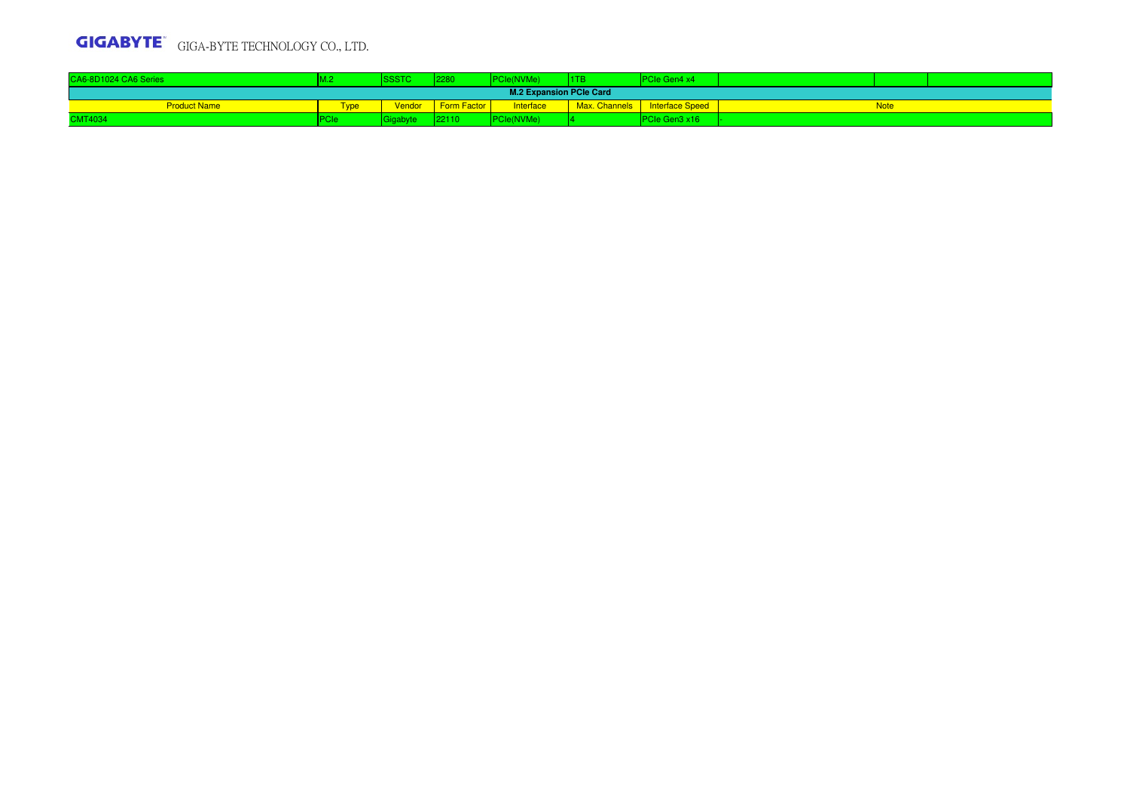| CA6-8D1024 CA6 Series          |             | 200T     | ددں         | <b>UICITY VIVIC</b>                   |               | <b>PCIe Gen4 x4</b> |  |             |  |  |  |  |
|--------------------------------|-------------|----------|-------------|---------------------------------------|---------------|---------------------|--|-------------|--|--|--|--|
| <b>M.2 Expansion PCIe Card</b> |             |          |             |                                       |               |                     |  |             |  |  |  |  |
| <b>Product Name</b>            | <b>Type</b> | Vendor   | Form Factor | Interface                             | Max. Channels | Interface Speed     |  | <b>Note</b> |  |  |  |  |
| <b>CMT4034</b>                 |             | iyao jio | 1221.       | <b>TALANT</b><br><b>VIG</b><br>IVVIVG |               | PCIe Gen3 x16       |  |             |  |  |  |  |